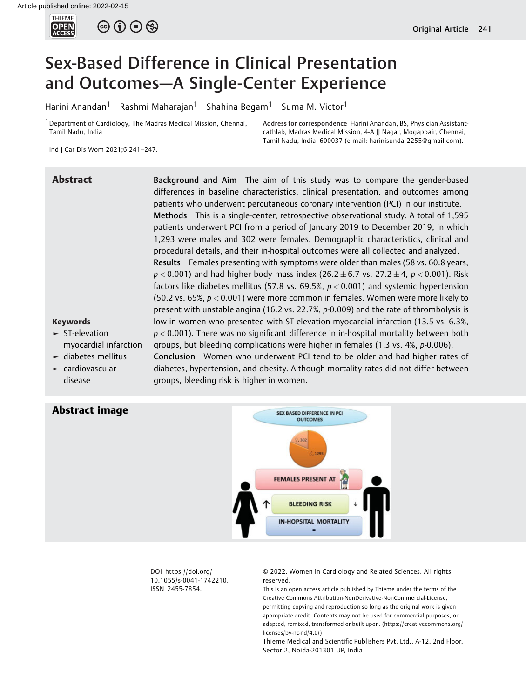

# Sex-Based Difference in Clinical Presentation and Outcomes—A Single-Center Experience

Harini Anandan<sup>1</sup> Rashmi Maharajan<sup>1</sup> Shahina Begam<sup>1</sup> Suma M. Victor<sup>1</sup>

<sup>1</sup> Department of Cardiology, The Madras Medical Mission, Chennai, Tamil Nadu, India

Address for correspondence Harini Anandan, BS, Physician Assistantcathlab, Madras Medical Mission, 4-A JJ Nagar, Mogappair, Chennai, Tamil Nadu, India- 600037 (e-mail: [harinisundar2255@gmail.com\)](mailto:harinisundar2255@gmail.com).

Ind J Car Dis Wom 2021;6:241–247.

Abstract Background and Aim The aim of this study was to compare the gender-based differences in baseline characteristics, clinical presentation, and outcomes among patients who underwent percutaneous coronary intervention (PCI) in our institute. Methods This is a single-center, retrospective observational study. A total of 1,595 patients underwent PCI from a period of January 2019 to December 2019, in which 1,293 were males and 302 were females. Demographic characteristics, clinical and procedural details, and their in-hospital outcomes were all collected and analyzed. Results Females presenting with symptoms were older than males (58 vs. 60.8 years,  $p < 0.001$ ) and had higher body mass index (26.2  $\pm$  6.7 vs. 27.2  $\pm$  4,  $p < 0.001$ ). Risk factors like diabetes mellitus (57.8 vs. 69.5%,  $p < 0.001$ ) and systemic hypertension (50.2 vs. 65%,  $p < 0.001$ ) were more common in females. Women were more likely to present with unstable angina (16.2 vs. 22.7%, p-0.009) and the rate of thrombolysis is low in women who presented with ST-elevation myocardial infarction (13.5 vs. 6.3%,  $p < 0.001$ ). There was no significant difference in in-hospital mortality between both groups, but bleeding complications were higher in females (1.3 vs. 4%, p-0.006). Conclusion Women who underwent PCI tend to be older and had higher rates of

## Keywords

- ► ST-elevation myocardial infarction
- ► diabetes mellitus ► cardiovascular disease

Abstract image

diabetes, hypertension, and obesity. Although mortality rates did not differ between groups, bleeding risk is higher in women.



DOI [https://doi.org/](https://doi.org/10.1055/s-0041-1742210) [10.1055/s-0041-1742210](https://doi.org/10.1055/s-0041-1742210). ISSN 2455-7854.

© 2022. Women in Cardiology and Related Sciences. All rights reserved.

This is an open access article published by Thieme under the terms of the Creative Commons Attribution-NonDerivative-NonCommercial-License, permitting copying and reproduction so long as the original work is given appropriate credit. Contents may not be used for commercial purposes, or adapted, remixed, transformed or built upon. (https://creativecommons.org/ licenses/by-nc-nd/4.0/)

Thieme Medical and Scientific Publishers Pvt. Ltd., A-12, 2nd Floor, Sector 2, Noida-201301 UP, India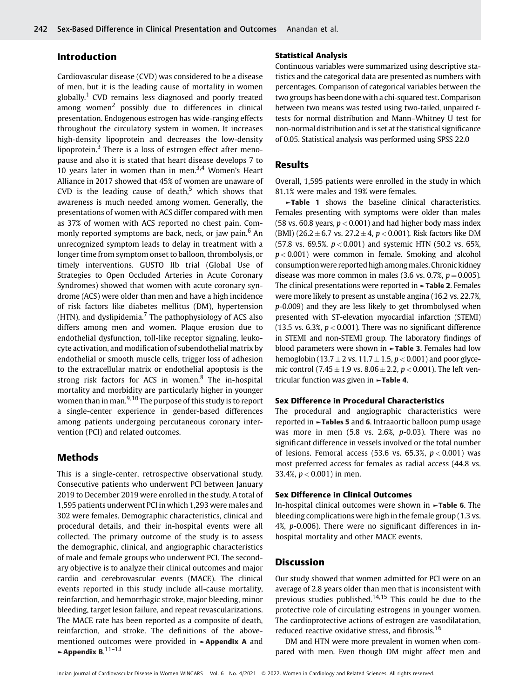# Introduction

Cardiovascular disease (CVD) was considered to be a disease of men, but it is the leading cause of mortality in women globally.<sup>1</sup> CVD remains less diagnosed and poorly treated among women<sup>2</sup> possibly due to differences in clinical presentation. Endogenous estrogen has wide-ranging effects throughout the circulatory system in women. It increases high-density lipoprotein and decreases the low-density lipoprotein. $3$  There is a loss of estrogen effect after menopause and also it is stated that heart disease develops 7 to 10 years later in women than in men. $3,4$  Women's Heart Alliance in 2017 showed that 45% of women are unaware of CVD is the leading cause of death, $5$  which shows that awareness is much needed among women. Generally, the presentations of women with ACS differ compared with men as 37% of women with ACS reported no chest pain. Commonly reported symptoms are back, neck, or jaw pain.<sup>6</sup> An unrecognized symptom leads to delay in treatment with a longer time from symptom onset to balloon, thrombolysis, or timely interventions. GUSTO IIb trial (Global Use of Strategies to Open Occluded Arteries in Acute Coronary Syndromes) showed that women with acute coronary syndrome (ACS) were older than men and have a high incidence of risk factors like diabetes mellitus (DM), hypertension (HTN), and dyslipidemia. $<sup>7</sup>$  The pathophysiology of ACS also</sup> differs among men and women. Plaque erosion due to endothelial dysfunction, toll-like receptor signaling, leukocyte activation, and modification of subendothelial matrix by endothelial or smooth muscle cells, trigger loss of adhesion to the extracellular matrix or endothelial apoptosis is the strong risk factors for ACS in women. $8$  The in-hospital mortality and morbidity are particularly higher in younger women than in man.<sup>9,10</sup> The purpose of this study is to report a single-center experience in gender-based differences among patients undergoing percutaneous coronary intervention (PCI) and related outcomes.

## Methods

This is a single-center, retrospective observational study. Consecutive patients who underwent PCI between January 2019 to December 2019 were enrolled in the study. A total of 1,595 patients underwent PCI in which 1,293 were males and 302 were females. Demographic characteristics, clinical and procedural details, and their in-hospital events were all collected. The primary outcome of the study is to assess the demographic, clinical, and angiographic characteristics of male and female groups who underwent PCI. The secondary objective is to analyze their clinical outcomes and major cardio and cerebrovascular events (MACE). The clinical events reported in this study include all-cause mortality, reinfarction, and hemorrhagic stroke, major bleeding, minor bleeding, target lesion failure, and repeat revascularizations. The MACE rate has been reported as a composite of death, reinfarction, and stroke. The definitions of the abovementioned outcomes were provided in ►Appendix A and  $\sim$  Appendix B.<sup>11–13</sup>

#### Statistical Analysis

Continuous variables were summarized using descriptive statistics and the categorical data are presented as numbers with percentages. Comparison of categorical variables between the two groups has been done with a chi-squared test. Comparison between two means was tested using two-tailed, unpaired ttests for normal distribution and Mann–Whitney U test for non-normal distribution and is set at the statistical significance of 0.05. Statistical analysis was performed using SPSS 22.0

## Results

Overall, 1,595 patients were enrolled in the study in which 81.1% were males and 19% were females.

►Table 1 shows the baseline clinical characteristics. Females presenting with symptoms were older than males (58 vs. 60.8 years,  $p < 0.001$ ) and had higher body mass index (BMI) (26.2  $\pm$  6.7 vs. 27.2  $\pm$  4, p < 0.001). Risk factors like DM (57.8 vs. 69.5%,  $p < 0.001$ ) and systemic HTN (50.2 vs. 65%,  $p < 0.001$ ) were common in female. Smoking and alcohol consumptionwere reported high among males. Chronic kidney disease was more common in males (3.6 vs. 0.7%,  $p = 0.005$ ). The clinical presentations were reported in ►Table 2. Females were more likely to present as unstable angina (16.2 vs. 22.7%, p-0.009) and they are less likely to get thrombolysed when presented with ST-elevation myocardial infarction (STEMI) (13.5 vs. 6.3%,  $p < 0.001$ ). There was no significant difference in STEMI and non-STEMI group. The laboratory findings of blood parameters were shown in ►Table 3. Females had low hemoglobin (13.7  $\pm$  2 vs. 11.7  $\pm$  1.5, p < 0.001) and poor glycemic control (7.45  $\pm$  1.9 vs. 8.06  $\pm$  2.2, p < 0.001). The left ventricular function was given in **- Table 4.** 

## Sex Difference in Procedural Characteristics

The procedural and angiographic characteristics were reported in ►Tables 5 and 6. Intraaortic balloon pump usage was more in men (5.8 vs. 2.6%, p-0.03). There was no significant difference in vessels involved or the total number of lesions. Femoral access (53.6 vs. 65.3%,  $p < 0.001$ ) was most preferred access for females as radial access (44.8 vs. 33.4%,  $p < 0.001$ ) in men.

#### Sex Difference in Clinical Outcomes

In-hospital clinical outcomes were shown in ►Table 6. The bleeding complications were high in the female group (1.3 vs. 4%, p-0.006). There were no significant differences in inhospital mortality and other MACE events.

# Discussion

Our study showed that women admitted for PCI were on an average of 2.8 years older than men that is inconsistent with previous studies published.<sup>14,15</sup> This could be due to the protective role of circulating estrogens in younger women. The cardioprotective actions of estrogen are vasodilatation, reduced reactive oxidative stress, and fibrosis.<sup>16</sup>

DM and HTN were more prevalent in women when compared with men. Even though DM might affect men and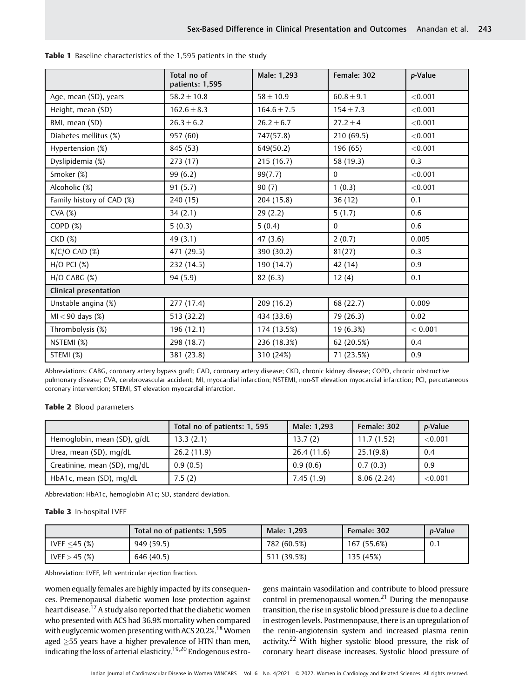|                           | Total no of<br>patients: 1,595 | Male: 1,293     | Female: 302    | p-Value |
|---------------------------|--------------------------------|-----------------|----------------|---------|
| Age, mean (SD), years     | $58.2 \pm 10.8$                | $58 \pm 10.9$   | $60.8 \pm 9.1$ | < 0.001 |
| Height, mean (SD)         | $162.6 \pm 8.3$                | $164.6 \pm 7.5$ | $154 \pm 7.3$  | < 0.001 |
| BMI, mean (SD)            | $26.3 \pm 6.2$                 | $26.2 \pm 6.7$  | $27.2 \pm 4$   | < 0.001 |
| Diabetes mellitus (%)     | 957 (60)                       | 747(57.8)       | 210 (69.5)     | < 0.001 |
| Hypertension (%)          | 845 (53)                       | 649(50.2)       | 196 (65)       | < 0.001 |
| Dyslipidemia (%)          | 273 (17)                       | 215 (16.7)      | 58 (19.3)      | 0.3     |
| Smoker (%)                | 99 (6.2)                       | 99(7.7)         | $\mathbf{0}$   | < 0.001 |
| Alcoholic (%)             | 91(5.7)                        | 90(7)           | 1(0.3)         | < 0.001 |
| Family history of CAD (%) | 240 (15)                       | 204 (15.8)      | 36(12)         | 0.1     |
| CVA (%)                   | 34(2.1)                        | 29(2.2)         | 5(1.7)         | 0.6     |
| COPD (%)                  | 5(0.3)                         | 5(0.4)          | $\Omega$       | 0.6     |
| CKD (%)                   | 49 (3.1)                       | 47(3.6)         | 2(0.7)         | 0.005   |
| $K/C/O$ CAD $(\%)$        | 471 (29.5)                     | 390 (30.2)      | 81(27)         | 0.3     |
| $H/O$ PCI $(\%)$          | 232 (14.5)                     | 190 (14.7)      | 42 (14)        | 0.9     |
| $H/O$ CABG $(\%)$         | 94 (5.9)                       | 82 (6.3)        | 12(4)          | 0.1     |
| Clinical presentation     |                                |                 |                |         |
| Unstable angina (%)       | 277 (17.4)                     | 209 (16.2)      | 68 (22.7)      | 0.009   |
| $MI < 90$ days $(\%)$     | 513 (32.2)                     | 434 (33.6)      | 79 (26.3)      | 0.02    |
| Thrombolysis (%)          | 196 (12.1)                     | 174 (13.5%)     | 19 (6.3%)      | < 0.001 |
| NSTEMI (%)                | 298 (18.7)                     | 236 (18.3%)     | 62 (20.5%)     | 0.4     |
| STEMI (%)                 | 381 (23.8)                     | 310 (24%)       | 71 (23.5%)     | 0.9     |

|  |  |  |  |  |  | <b>Table 1</b> Baseline characteristics of the 1,595 patients in the study |  |  |  |  |  |  |  |  |
|--|--|--|--|--|--|----------------------------------------------------------------------------|--|--|--|--|--|--|--|--|
|--|--|--|--|--|--|----------------------------------------------------------------------------|--|--|--|--|--|--|--|--|

Abbreviations: CABG, coronary artery bypass graft; CAD, coronary artery disease; CKD, chronic kidney disease; COPD, chronic obstructive pulmonary disease; CVA, cerebrovascular accident; MI, myocardial infarction; NSTEMI, non-ST elevation myocardial infarction; PCI, percutaneous coronary intervention; STEMI, ST elevation myocardial infarction.

## Table 2 Blood parameters

|                              | Total no of patients: 1, 595 | Male: 1,293 | Female: 302 | <i>p</i> -Value |
|------------------------------|------------------------------|-------------|-------------|-----------------|
| Hemoglobin, mean (SD), g/dL  | 13.3(2.1)                    | 13.7(2)     | 11.7(1.52)  | < 0.001         |
| Urea, mean (SD), mg/dL       | 26.2(11.9)                   | 26.4(11.6)  | 25.1(9.8)   | 0.4             |
| Creatinine, mean (SD), mq/dL | 0.9(0.5)                     | 0.9(0.6)    | 0.7(0.3)    | 0.9             |
| HbA1c, mean (SD), mg/dL      | 7.5(2)                       | 7.45(1.9)   | 8.06(2.24)  | < 0.001         |

Abbreviation: HbA1c, hemoglobin A1c; SD, standard deviation.

## Table 3 In-hospital LVEF

|                 | Total no of patients: 1,595 | Male: 1.293 | Female: 302 | <i>p</i> -Value |
|-----------------|-----------------------------|-------------|-------------|-----------------|
| LVEF $<$ 45 (%) | 949 (59.5)                  | 782 (60.5%) | 167 (55.6%) | 0.1             |
| LVEF $>$ 45 (%) | 646 (40.5)                  | 511 (39.5%) | 135 (45%)   |                 |

Abbreviation: LVEF, left ventricular ejection fraction.

women equally females are highly impacted by its consequences. Premenopausal diabetic women lose protection against heart disease.<sup>17</sup> A study also reported that the diabetic women who presented with ACS had 36.9% mortality when compared with euglycemic women presenting with ACS 20.2%.<sup>18</sup> Women aged  $\geq$ 55 years have a higher prevalence of HTN than men, indicating the loss of arterial elasticity.19,20 Endogenous estrogens maintain vasodilation and contribute to blood pressure control in premenopausal women.<sup>21</sup> During the menopause transition, the rise in systolic blood pressure is due to a decline in estrogen levels. Postmenopause, there is an upregulation of the renin-angiotensin system and increased plasma renin activity.<sup>22</sup> With higher systolic blood pressure, the risk of coronary heart disease increases. Systolic blood pressure of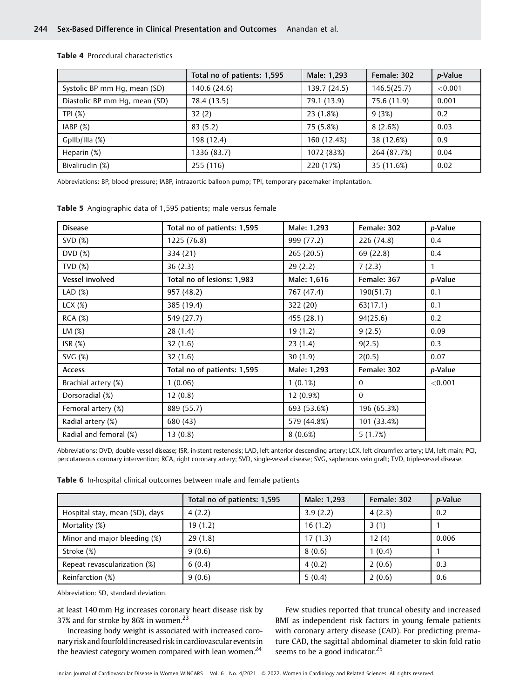|                               | Total no of patients: 1,595 | Male: 1,293  | Female: 302 | p-Value |
|-------------------------------|-----------------------------|--------------|-------------|---------|
| Systolic BP mm Hq, mean (SD)  | 140.6 (24.6)                | 139.7 (24.5) | 146.5(25.7) | < 0.001 |
| Diastolic BP mm Hq, mean (SD) | 78.4 (13.5)                 | 79.1 (13.9)  | 75.6 (11.9) | 0.001   |
| TPI (%)                       | 32(2)                       | 23 (1.8%)    | 9(3%)       | 0.2     |
| IABP(%)                       | 83(5.2)                     | 75 (5.8%)    | 8(2.6%)     | 0.03    |
| GpIIb/IIIa (%)                | 198 (12.4)                  | 160 (12.4%)  | 38 (12.6%)  | 0.9     |
| Heparin (%)                   | 1336 (83.7)                 | 1072 (83%)   | 264 (87.7%) | 0.04    |
| Bivalirudin (%)               | 255 (116)                   | 220 (17%)    | 35 (11.6%)  | 0.02    |

#### Table 4 Procedural characteristics

Abbreviations: BP, blood pressure; IABP, intraaortic balloon pump; TPI, temporary pacemaker implantation.

| <b>Disease</b>         | Total no of patients: 1,595 | Male: 1,293 | Female: 302  | p-Value |
|------------------------|-----------------------------|-------------|--------------|---------|
| SVD (%)                | 1225 (76.8)                 | 999 (77.2)  | 226 (74.8)   | 0.4     |
| DVD(%)                 | 334 (21)                    | 265(20.5)   | 69 (22.8)    | 0.4     |
| TVD $(%)$              | 36(2.3)                     | 29(2.2)     | 7(2.3)       | 1       |
| Vessel involved        | Total no of lesions: 1,983  | Male: 1,616 | Female: 367  | p-Value |
| LAD $(%)$              | 957 (48.2)                  | 767 (47.4)  | 190(51.7)    | 0.1     |
| $LCX$ $(\%)$           | 385 (19.4)                  | 322 (20)    | 63(17.1)     | 0.1     |
| <b>RCA (%)</b>         | 549 (27.7)                  | 455 (28.1)  | 94(25.6)     | 0.2     |
| LM (%)                 | 28 (1.4)                    | 19 (1.2)    | 9(2.5)       | 0.09    |
| ISR $(%)$              | 32(1.6)                     | 23(1.4)     | 9(2.5)       | 0.3     |
| SVG(%)                 | 32(1.6)                     | 30(1.9)     | 2(0.5)       | 0.07    |
| <b>Access</b>          | Total no of patients: 1,595 | Male: 1,293 | Female: 302  | p-Value |
| Brachial artery (%)    | 1(0.06)                     | 1(0.1%)     | $\mathbf{0}$ | < 0.001 |
| Dorsoradial (%)        | 12(0.8)                     | $12(0.9\%)$ | $\Omega$     |         |
| Femoral artery (%)     | 889 (55.7)                  | 693 (53.6%) | 196 (65.3%)  |         |
| Radial artery (%)      | 680 (43)                    | 579 (44.8%) | 101 (33.4%)  |         |
| Radial and femoral (%) | 13(0.8)                     | 8(0.6%)     | 5(1.7%)      |         |

Table 5 Angiographic data of 1,595 patients; male versus female

Abbreviations: DVD, double vessel disease; ISR, in-stent restenosis; LAD, left anterior descending artery; LCX, left circumflex artery; LM, left main; PCI, percutaneous coronary intervention; RCA, right coronary artery; SVD, single-vessel disease; SVG, saphenous vein graft; TVD, triple-vessel disease.

| Table 6 In-hospital clinical outcomes between male and female patients |  |
|------------------------------------------------------------------------|--|
|------------------------------------------------------------------------|--|

|                                | Total no of patients: 1,595 | Male: 1,293 | Female: 302 | <i>p</i> -Value |
|--------------------------------|-----------------------------|-------------|-------------|-----------------|
| Hospital stay, mean (SD), days | 4(2.2)                      | 3.9(2.2)    | 4(2.3)      | 0.2             |
| Mortality (%)                  | 19(1.2)                     | 16(1.2)     | 3(1)        |                 |
| Minor and major bleeding (%)   | 29(1.8)                     | 17(1.3)     | 12(4)       | 0.006           |
| Stroke (%)                     | 9(0.6)                      | 8(0.6)      | 1(0.4)      |                 |
| Repeat revascularization (%)   | 6(0.4)                      | 4(0.2)      | 2(0.6)      | 0.3             |
| Reinfarction (%)               | 9(0.6)                      | 5(0.4)      | 2(0.6)      | 0.6             |

Abbreviation: SD, standard deviation.

at least 140 mm Hg increases coronary heart disease risk by 37% and for stroke by 86% in women.<sup>23</sup>

Increasing body weight is associated with increased coronary risk and fourfoldincreased risk in cardiovascular eventsin the heaviest category women compared with lean women.<sup>24</sup>

Few studies reported that truncal obesity and increased BMI as independent risk factors in young female patients with coronary artery disease (CAD). For predicting premature CAD, the sagittal abdominal diameter to skin fold ratio seems to be a good indicator.<sup>25</sup>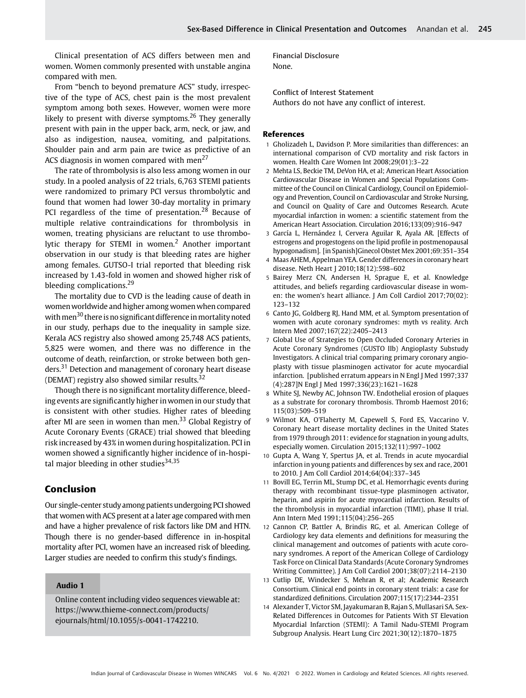Clinical presentation of ACS differs between men and women. Women commonly presented with unstable angina compared with men.

From "bench to beyond premature ACS" study, irrespective of the type of ACS, chest pain is the most prevalent symptom among both sexes. However, women were more likely to present with diverse symptoms.<sup>26</sup> They generally present with pain in the upper back, arm, neck, or jaw, and also as indigestion, nausea, vomiting, and palpitations. Shoulder pain and arm pain are twice as predictive of an ACS diagnosis in women compared with men<sup>27</sup>

The rate of thrombolysis is also less among women in our study. In a pooled analysis of 22 trials, 6,763 STEMI patients were randomized to primary PCI versus thrombolytic and found that women had lower 30-day mortality in primary PCI regardless of the time of presentation.<sup>28</sup> Because of multiple relative contraindications for thrombolysis in women, treating physicians are reluctant to use thrombolytic therapy for STEMI in women.<sup>2</sup> Another important observation in our study is that bleeding rates are higher among females. GUTSO-I trial reported that bleeding risk increased by 1.43-fold in women and showed higher risk of bleeding complications.<sup>29</sup>

The mortality due to CVD is the leading cause of death in women worldwide and higher among women when compared with men<sup>30</sup> there is no significant difference in mortality noted in our study, perhaps due to the inequality in sample size. Kerala ACS registry also showed among 25,748 ACS patients, 5,825 were women, and there was no difference in the outcome of death, reinfarction, or stroke between both genders.<sup>31</sup> Detection and management of coronary heart disease (DEMAT) registry also showed similar results.<sup>32</sup>

Though there is no significant mortality difference, bleeding events are significantly higher in women in our study that is consistent with other studies. Higher rates of bleeding after MI are seen in women than men. $33$  Global Registry of Acute Coronary Events (GRACE) trial showed that bleeding risk increased by 43% in women during hospitalization. PCI in women showed a significantly higher incidence of in-hospital major bleeding in other studies<sup>34,35</sup>

# Conclusion

Our single-center study among patients undergoing PCI showed that women with ACS present at a later age compared with men and have a higher prevalence of risk factors like DM and HTN. Though there is no gender-based difference in in-hospital mortality after PCI, women have an increased risk of bleeding. Larger studies are needed to confirm this study's findings.

#### Audio 1

Online content including video sequences viewable at: [https://www.thieme-connect.com/products/](https://www.thieme-connect.com/products/ejournals/html/10.1055/s-0041-1742210) [ejournals/html/10.1055/s-0041-1742210.](https://www.thieme-connect.com/products/ejournals/html/10.1055/s-0041-1742210)

Financial Disclosure None.

Conflict of Interest Statement Authors do not have any conflict of interest.

#### References

- 1 Gholizadeh L, Davidson P. More similarities than differences: an international comparison of CVD mortality and risk factors in women. Health Care Women Int 2008;29(01):3–22
- 2 Mehta LS, Beckie TM, DeVon HA, et al; American Heart Association Cardiovascular Disease in Women and Special Populations Committee of the Council on Clinical Cardiology, Council on Epidemiology and Prevention, Council on Cardiovascular and Stroke Nursing, and Council on Quality of Care and Outcomes Research. Acute myocardial infarction in women: a scientific statement from the American Heart Association. Circulation 2016;133(09):916–947
- 3 García L, Hernández I, Cervera Aguilar R, Ayala AR. [Effects of estrogens and progestogens on the lipid profile in postmenopausal hypogonadism]. [in Spanish]Ginecol Obstet Mex 2001;69:351–354
- 4 Maas AHEM, Appelman YEA. Gender differences in coronary heart disease. Neth Heart J 2010;18(12):598–602
- 5 Bairey Merz CN, Andersen H, Sprague E, et al. Knowledge attitudes, and beliefs regarding cardiovascular disease in women: the women's heart alliance. J Am Coll Cardiol 2017;70(02): 123–132
- 6 Canto JG, Goldberg RJ, Hand MM, et al. Symptom presentation of women with acute coronary syndromes: myth vs reality. Arch Intern Med 2007;167(22):2405–2413
- 7 Global Use of Strategies to Open Occluded Coronary Arteries in Acute Coronary Syndromes (GUSTO IIb) Angioplasty Substudy Investigators. A clinical trial comparing primary coronary angioplasty with tissue plasminogen activator for acute myocardial infarction. [published erratum appears in N Engl J Med 1997;337 (4):287]N Engl J Med 1997;336(23):1621–1628
- 8 White SJ, Newby AC, Johnson TW. Endothelial erosion of plaques as a substrate for coronary thrombosis. Thromb Haemost 2016; 115(03):509–519
- 9 Wilmot KA, O'Flaherty M, Capewell S, Ford ES, Vaccarino V. Coronary heart disease mortality declines in the United States from 1979 through 2011: evidence for stagnation in young adults, especially women. Circulation 2015;132(11):997–1002
- 10 Gupta A, Wang Y, Spertus JA, et al. Trends in acute myocardial infarction in young patients and differences by sex and race, 2001 to 2010. J Am Coll Cardiol 2014;64(04):337–345
- 11 Bovill EG, Terrin ML, Stump DC, et al. Hemorrhagic events during therapy with recombinant tissue-type plasminogen activator, heparin, and aspirin for acute myocardial infarction. Results of the thrombolysis in myocardial infarction (TIMI), phase II trial. Ann Intern Med 1991;115(04):256–265
- 12 Cannon CP, Battler A, Brindis RG, et al. American College of Cardiology key data elements and definitions for measuring the clinical management and outcomes of patients with acute coronary syndromes. A report of the American College of Cardiology Task Force on Clinical Data Standards (Acute Coronary Syndromes Writing Committee). J Am Coll Cardiol 2001;38(07):2114–2130
- 13 Cutlip DE, Windecker S, Mehran R, et al; Academic Research Consortium. Clinical end points in coronary stent trials: a case for standardized definitions. Circulation 2007;115(17):2344–2351
- 14 Alexander T, Victor SM, Jayakumaran B, Rajan S, Mullasari SA. Sex-Related Differences in Outcomes for Patients With ST Elevation Myocardial Infarction (STEMI): A Tamil Nadu-STEMI Program Subgroup Analysis. Heart Lung Circ 2021;30(12):1870–1875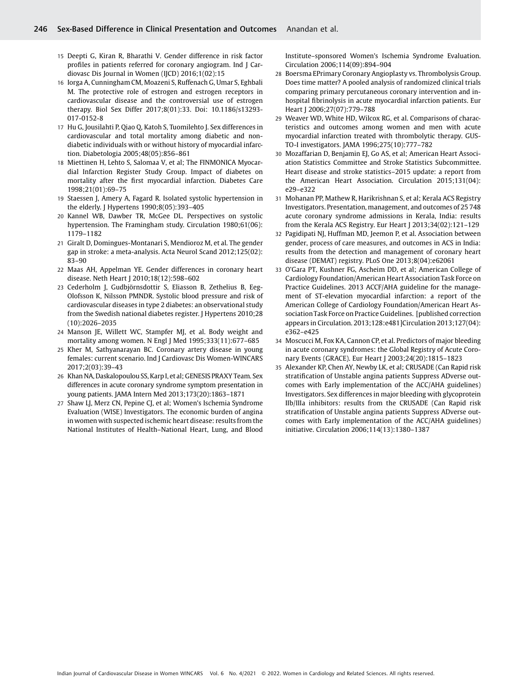- 15 Deepti G, Kiran R, Bharathi V. Gender difference in risk factor profiles in patients referred for coronary angiogram. Ind J Cardiovasc Dis Journal in Women (IJCD) 2016;1(02):15
- 16 Iorga A, Cunningham CM, Moazeni S, Ruffenach G, Umar S, Eghbali M. The protective role of estrogen and estrogen receptors in cardiovascular disease and the controversial use of estrogen therapy. Biol Sex Differ 2017;8(01):33. Doi: 10.1186/s13293- 017-0152-8
- 17 Hu G, Jousilahti P, Qiao Q, Katoh S, Tuomilehto J. Sex differences in cardiovascular and total mortality among diabetic and nondiabetic individuals with or without history of myocardial infarction. Diabetologia 2005;48(05):856–861
- 18 Miettinen H, Lehto S, Salomaa V, et al; The FINMONICA Myocardial Infarction Register Study Group. Impact of diabetes on mortality after the first myocardial infarction. Diabetes Care 1998;21(01):69–75
- 19 Staessen J, Amery A, Fagard R. Isolated systolic hypertension in the elderly. J Hypertens 1990;8(05):393–405
- 20 Kannel WB, Dawber TR, McGee DL. Perspectives on systolic hypertension. The Framingham study. Circulation 1980;61(06): 1179–1182
- 21 Giralt D, Domingues-Montanari S, Mendioroz M, et al. The gender gap in stroke: a meta-analysis. Acta Neurol Scand 2012;125(02): 83–90
- 22 Maas AH, Appelman YE. Gender differences in coronary heart disease. Neth Heart J 2010;18(12):598–602
- 23 Cederholm J, Gudbjörnsdottir S, Eliasson B, Zethelius B, Eeg-Olofsson K, Nilsson PMNDR. Systolic blood pressure and risk of cardiovascular diseases in type 2 diabetes: an observational study from the Swedish national diabetes register. J Hypertens 2010;28 (10):2026–2035
- 24 Manson JE, Willett WC, Stampfer MJ, et al. Body weight and mortality among women. N Engl J Med 1995;333(11):677–685
- 25 Kher M, Sathyanarayan BC. Coronary artery disease in young females: current scenario. Ind J Cardiovasc Dis Women-WINCARS 2017;2(03):39–43
- 26 Khan NA, Daskalopoulou SS, Karp I, et al; GENESIS PRAXY Team. Sex differences in acute coronary syndrome symptom presentation in young patients. JAMA Intern Med 2013;173(20):1863–1871
- 27 Shaw LJ, Merz CN, Pepine CJ, et al; Women's Ischemia Syndrome Evaluation (WISE) Investigators. The economic burden of angina in women with suspected ischemic heart disease: results from the National Institutes of Health–National Heart, Lung, and Blood

Institute–sponsored Women's Ischemia Syndrome Evaluation. Circulation 2006;114(09):894–904

- 28 Boersma EPrimary Coronary Angioplasty vs. Thrombolysis Group. Does time matter? A pooled analysis of randomized clinical trials comparing primary percutaneous coronary intervention and inhospital fibrinolysis in acute myocardial infarction patients. Eur Heart J 2006;27(07):779–788
- 29 Weaver WD, White HD, Wilcox RG, et al. Comparisons of characteristics and outcomes among women and men with acute myocardial infarction treated with thrombolytic therapy. GUS-TO-I investigators. JAMA 1996;275(10):777–782
- 30 Mozaffarian D, Benjamin EJ, Go AS, et al; American Heart Association Statistics Committee and Stroke Statistics Subcommittee. Heart disease and stroke statistics–2015 update: a report from the American Heart Association. Circulation 2015;131(04): e29–e322
- 31 Mohanan PP, Mathew R, Harikrishnan S, et al; Kerala ACS Registry Investigators. Presentation, management, and outcomes of 25 748 acute coronary syndrome admissions in Kerala, India: results from the Kerala ACS Registry. Eur Heart J 2013;34(02):121–129
- Pagidipati NJ, Huffman MD, Jeemon P, et al. Association between gender, process of care measures, and outcomes in ACS in India: results from the detection and management of coronary heart disease (DEMAT) registry. PLoS One 2013;8(04):e62061
- 33 O'Gara PT, Kushner FG, Ascheim DD, et al; American College of Cardiology Foundation/American Heart Association Task Force on Practice Guidelines. 2013 ACCF/AHA guideline for the management of ST-elevation myocardial infarction: a report of the American College of Cardiology Foundation/American Heart Association Task Force on Practice Guidelines. [published correction appears in Circulation. 2013;128:e481]Circulation 2013;127(04): e362–e425
- 34 Moscucci M, Fox KA, Cannon CP, et al. Predictors of major bleeding in acute coronary syndromes: the Global Registry of Acute Coronary Events (GRACE). Eur Heart J 2003;24(20):1815–1823
- 35 Alexander KP, Chen AY, Newby LK, et al; CRUSADE (Can Rapid risk stratification of Unstable angina patients Suppress ADverse outcomes with Early implementation of the ACC/AHA guidelines) Investigators. Sex differences in major bleeding with glycoprotein IIb/IIIa inhibitors: results from the CRUSADE (Can Rapid risk stratification of Unstable angina patients Suppress ADverse outcomes with Early implementation of the ACC/AHA guidelines) initiative. Circulation 2006;114(13):1380–1387